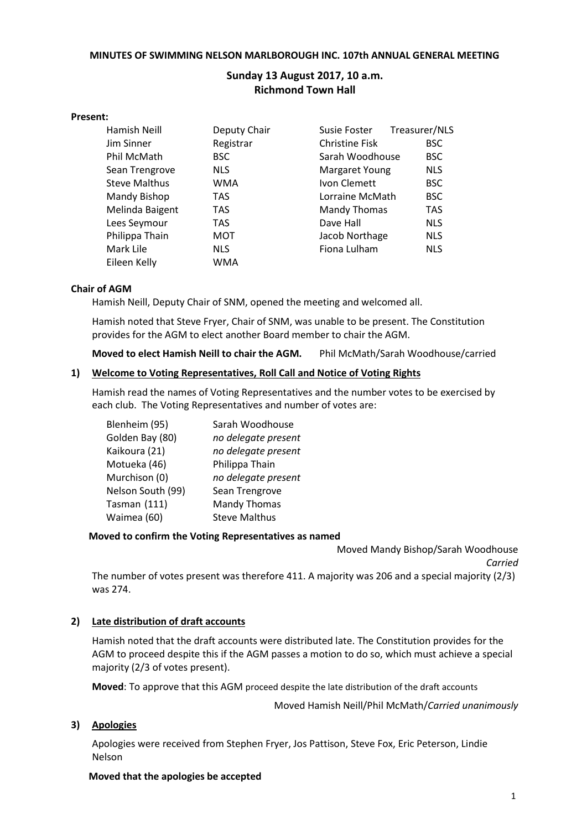#### **MINUTES OF SWIMMING NELSON MARLBOROUGH INC. 107th ANNUAL GENERAL MEETING**

# **Sunday 13 August 2017, 10 a.m. Richmond Town Hall**

#### **Present:**

| Hamish Neill         | Deputy Chair | Susie Foster          | Treasurer/NLS |
|----------------------|--------------|-----------------------|---------------|
| Jim Sinner           | Registrar    | <b>Christine Fisk</b> | <b>BSC</b>    |
| Phil McMath          | <b>BSC</b>   | Sarah Woodhouse       | <b>BSC</b>    |
| Sean Trengrove       | <b>NLS</b>   | Margaret Young        | <b>NLS</b>    |
| <b>Steve Malthus</b> | WMA          | Ivon Clemett          | <b>BSC</b>    |
| Mandy Bishop         | <b>TAS</b>   | Lorraine McMath       | <b>BSC</b>    |
| Melinda Baigent      | <b>TAS</b>   | <b>Mandy Thomas</b>   | <b>TAS</b>    |
| Lees Seymour         | <b>TAS</b>   | Dave Hall             | <b>NLS</b>    |
| Philippa Thain       | MOT          | Jacob Northage        | <b>NLS</b>    |
| Mark Lile            | <b>NLS</b>   | Fiona Lulham          | <b>NLS</b>    |
| Eileen Kelly         | WMA          |                       |               |

#### **Chair of AGM**

Hamish Neill, Deputy Chair of SNM, opened the meeting and welcomed all.

Hamish noted that Steve Fryer, Chair of SNM, was unable to be present. The Constitution provides for the AGM to elect another Board member to chair the AGM.

**Moved to elect Hamish Neill to chair the AGM.** Phil McMath/Sarah Woodhouse/carried

### **1) Welcome to Voting Representatives, Roll Call and Notice of Voting Rights**

Hamish read the names of Voting Representatives and the number votes to be exercised by each club. The Voting Representatives and number of votes are:

| Blenheim (95)     | Sarah Woodhouse      |
|-------------------|----------------------|
| Golden Bay (80)   | no delegate present  |
| Kaikoura (21)     | no delegate present  |
| Motueka (46)      | Philippa Thain       |
| Murchison (0)     | no delegate present  |
| Nelson South (99) | Sean Trengrove       |
| Tasman (111)      | <b>Mandy Thomas</b>  |
| Waimea (60)       | <b>Steve Malthus</b> |

### **Moved to confirm the Voting Representatives as named**

Moved Mandy Bishop/Sarah Woodhouse *Carried*

The number of votes present was therefore 411. A majority was 206 and a special majority (2/3) was 274.

### **2) Late distribution of draft accounts**

Hamish noted that the draft accounts were distributed late. The Constitution provides for the AGM to proceed despite this if the AGM passes a motion to do so, which must achieve a special majority (2/3 of votes present).

**Moved**: To approve that this AGM proceed despite the late distribution of the draft accounts

Moved Hamish Neill/Phil McMath/*Carried unanimously*

### **3) Apologies**

Apologies were received from Stephen Fryer, Jos Pattison, Steve Fox, Eric Peterson, Lindie Nelson

### **Moved that the apologies be accepted**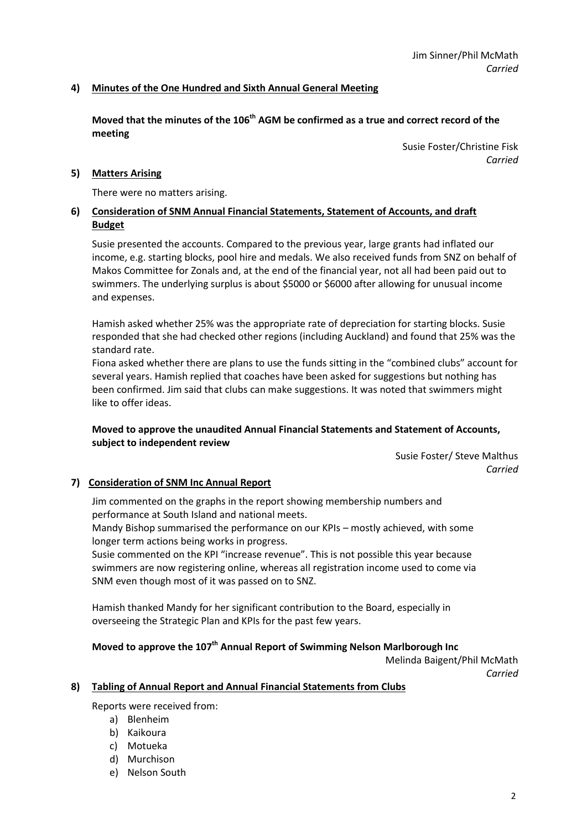## **4) Minutes of the One Hundred and Sixth Annual General Meeting**

**Moved that the minutes of the 106 th AGM be confirmed as a true and correct record of the meeting**

> Susie Foster/Christine Fisk *Carried*

### **5) Matters Arising**

There were no matters arising.

## **6) Consideration of SNM Annual Financial Statements, Statement of Accounts, and draft Budget**

Susie presented the accounts. Compared to the previous year, large grants had inflated our income, e.g. starting blocks, pool hire and medals. We also received funds from SNZ on behalf of Makos Committee for Zonals and, at the end of the financial year, not all had been paid out to swimmers. The underlying surplus is about \$5000 or \$6000 after allowing for unusual income and expenses.

Hamish asked whether 25% was the appropriate rate of depreciation for starting blocks. Susie responded that she had checked other regions (including Auckland) and found that 25% was the standard rate.

Fiona asked whether there are plans to use the funds sitting in the "combined clubs" account for several years. Hamish replied that coaches have been asked for suggestions but nothing has been confirmed. Jim said that clubs can make suggestions. It was noted that swimmers might like to offer ideas.

### **Moved to approve the unaudited Annual Financial Statements and Statement of Accounts, subject to independent review**

Susie Foster/ Steve Malthus *Carried*

### **7) Consideration of SNM Inc Annual Report**

Jim commented on the graphs in the report showing membership numbers and performance at South Island and national meets.

Mandy Bishop summarised the performance on our KPIs – mostly achieved, with some longer term actions being works in progress.

Susie commented on the KPI "increase revenue". This is not possible this year because swimmers are now registering online, whereas all registration income used to come via SNM even though most of it was passed on to SNZ.

Hamish thanked Mandy for her significant contribution to the Board, especially in overseeing the Strategic Plan and KPIs for the past few years.

## **Moved to approve the 107 th Annual Report of Swimming Nelson Marlborough Inc**

Melinda Baigent/Phil McMath *Carried*

#### **8) Tabling of Annual Report and Annual Financial Statements from Clubs**

Reports were received from:

- a) Blenheim
- b) Kaikoura
- c) Motueka
- d) Murchison
- e) Nelson South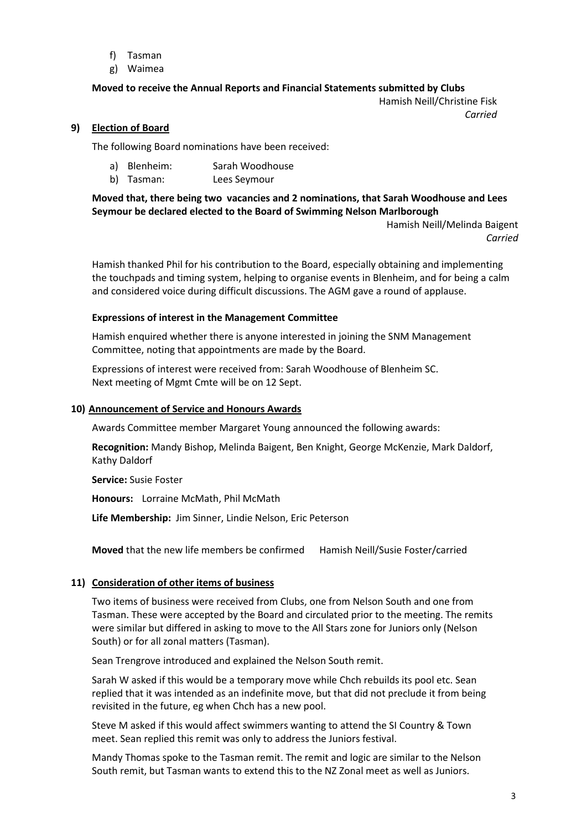- f) Tasman
- g) Waimea

## **Moved to receive the Annual Reports and Financial Statements submitted by Clubs**

Hamish Neill/Christine Fisk *Carried*

### **9) Election of Board**

The following Board nominations have been received:

- a) Blenheim: Sarah Woodhouse
- b) Tasman: Lees Seymour

### **Moved that, there being two vacancies and 2 nominations, that Sarah Woodhouse and Lees Seymour be declared elected to the Board of Swimming Nelson Marlborough**

Hamish Neill/Melinda Baigent *Carried*

Hamish thanked Phil for his contribution to the Board, especially obtaining and implementing the touchpads and timing system, helping to organise events in Blenheim, and for being a calm and considered voice during difficult discussions. The AGM gave a round of applause.

### **Expressions of interest in the Management Committee**

Hamish enquired whether there is anyone interested in joining the SNM Management Committee, noting that appointments are made by the Board.

Expressions of interest were received from: Sarah Woodhouse of Blenheim SC. Next meeting of Mgmt Cmte will be on 12 Sept.

#### **10) Announcement of Service and Honours Awards**

Awards Committee member Margaret Young announced the following awards:

**Recognition:** Mandy Bishop, Melinda Baigent, Ben Knight, George McKenzie, Mark Daldorf, Kathy Daldorf

**Service:** Susie Foster

**Honours:** Lorraine McMath, Phil McMath

**Life Membership:** Jim Sinner, Lindie Nelson, Eric Peterson

**Moved** that the new life members be confirmed Hamish Neill/Susie Foster/carried

### **11) Consideration of other items of business**

Two items of business were received from Clubs, one from Nelson South and one from Tasman. These were accepted by the Board and circulated prior to the meeting. The remits were similar but differed in asking to move to the All Stars zone for Juniors only (Nelson South) or for all zonal matters (Tasman).

Sean Trengrove introduced and explained the Nelson South remit.

Sarah W asked if this would be a temporary move while Chch rebuilds its pool etc. Sean replied that it was intended as an indefinite move, but that did not preclude it from being revisited in the future, eg when Chch has a new pool.

Steve M asked if this would affect swimmers wanting to attend the SI Country & Town meet. Sean replied this remit was only to address the Juniors festival.

Mandy Thomas spoke to the Tasman remit. The remit and logic are similar to the Nelson South remit, but Tasman wants to extend this to the NZ Zonal meet as well as Juniors.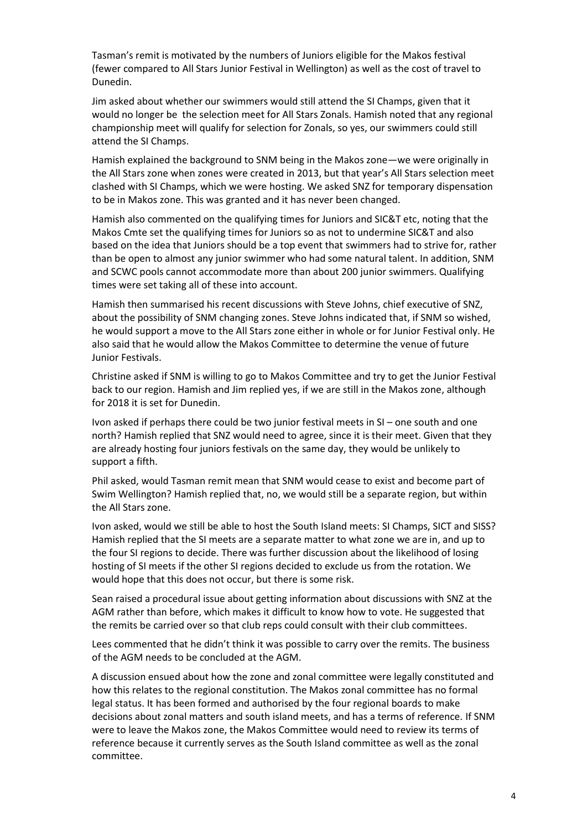Tasman's remit is motivated by the numbers of Juniors eligible for the Makos festival (fewer compared to All Stars Junior Festival in Wellington) as well as the cost of travel to Dunedin.

Jim asked about whether our swimmers would still attend the SI Champs, given that it would no longer be the selection meet for All Stars Zonals. Hamish noted that any regional championship meet will qualify for selection for Zonals, so yes, our swimmers could still attend the SI Champs.

Hamish explained the background to SNM being in the Makos zone—we were originally in the All Stars zone when zones were created in 2013, but that year's All Stars selection meet clashed with SI Champs, which we were hosting. We asked SNZ for temporary dispensation to be in Makos zone. This was granted and it has never been changed.

Hamish also commented on the qualifying times for Juniors and SIC&T etc, noting that the Makos Cmte set the qualifying times for Juniors so as not to undermine SIC&T and also based on the idea that Juniors should be a top event that swimmers had to strive for, rather than be open to almost any junior swimmer who had some natural talent. In addition, SNM and SCWC pools cannot accommodate more than about 200 junior swimmers. Qualifying times were set taking all of these into account.

Hamish then summarised his recent discussions with Steve Johns, chief executive of SNZ, about the possibility of SNM changing zones. Steve Johns indicated that, if SNM so wished, he would support a move to the All Stars zone either in whole or for Junior Festival only. He also said that he would allow the Makos Committee to determine the venue of future Junior Festivals.

Christine asked if SNM is willing to go to Makos Committee and try to get the Junior Festival back to our region. Hamish and Jim replied yes, if we are still in the Makos zone, although for 2018 it is set for Dunedin.

Ivon asked if perhaps there could be two junior festival meets in SI – one south and one north? Hamish replied that SNZ would need to agree, since it is their meet. Given that they are already hosting four juniors festivals on the same day, they would be unlikely to support a fifth.

Phil asked, would Tasman remit mean that SNM would cease to exist and become part of Swim Wellington? Hamish replied that, no, we would still be a separate region, but within the All Stars zone.

Ivon asked, would we still be able to host the South Island meets: SI Champs, SICT and SISS? Hamish replied that the SI meets are a separate matter to what zone we are in, and up to the four SI regions to decide. There was further discussion about the likelihood of losing hosting of SI meets if the other SI regions decided to exclude us from the rotation. We would hope that this does not occur, but there is some risk.

Sean raised a procedural issue about getting information about discussions with SNZ at the AGM rather than before, which makes it difficult to know how to vote. He suggested that the remits be carried over so that club reps could consult with their club committees.

Lees commented that he didn't think it was possible to carry over the remits. The business of the AGM needs to be concluded at the AGM.

A discussion ensued about how the zone and zonal committee were legally constituted and how this relates to the regional constitution. The Makos zonal committee has no formal legal status. It has been formed and authorised by the four regional boards to make decisions about zonal matters and south island meets, and has a terms of reference. If SNM were to leave the Makos zone, the Makos Committee would need to review its terms of reference because it currently serves as the South Island committee as well as the zonal committee.